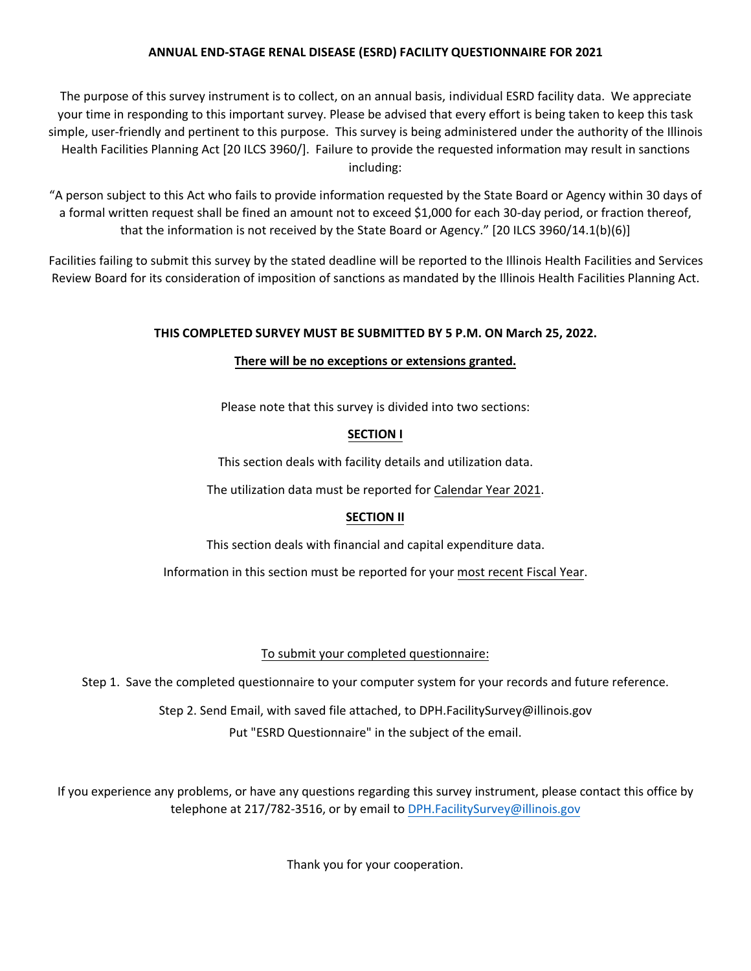The purpose of this survey instrument is to collect, on an annual basis, individual ESRD facility data. We appreciate your time in responding to this important survey. Please be advised that every effort is being taken to keep this task simple, user-friendly and pertinent to this purpose. This survey is being administered under the authority of the Illinois Health Facilities Planning Act [20 ILCS 3960/]. Failure to provide the requested information may result in sanctions including:

"A person subject to this Act who fails to provide information requested by the State Board or Agency within 30 days of a formal written request shall be fined an amount not to exceed \$1,000 for each 30-day period, or fraction thereof, that the information is not received by the State Board or Agency." [20 ILCS 3960/14.1(b)(6)]

Facilities failing to submit this survey by the stated deadline will be reported to the Illinois Health Facilities and Services Review Board for its consideration of imposition of sanctions as mandated by the Illinois Health Facilities Planning Act.

## **THIS COMPLETED SURVEY MUST BE SUBMITTED BY 5 P.M. ON March 25, 2022.**

## **There will be no exceptions or extensions granted.**

Please note that this survey is divided into two sections:

## **SECTION I**

This section deals with facility details and utilization data.

The utilization data must be reported for Calendar Year 2021.

## **SECTION II**

This section deals with financial and capital expenditure data.

Information in this section must be reported for your most recent Fiscal Year.

## To submit your completed questionnaire:

Step 1. Save the completed questionnaire to your computer system for your records and future reference.

Step 2. Send Email, with saved file attached, to DPH.FacilitySurvey@illinois.gov Put "ESRD Questionnaire" in the subject of the email.

If you experience any problems, or have any questions regarding this survey instrument, please contact this office by telephone at 217/782-3516, or by email to DPH.FacilitySurvey@illinois.gov

Thank you for your cooperation.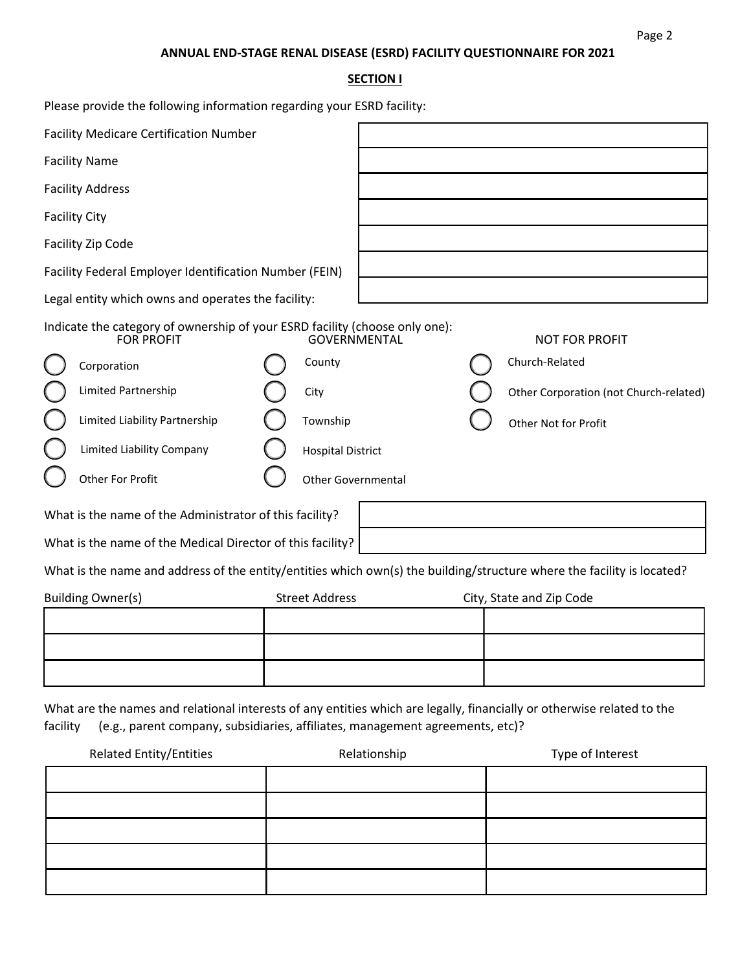Page 2

## **SECTION I**

| Please provide the following information regarding your ESRD facility:                                                             |                                                                               |                                                                                                                        |
|------------------------------------------------------------------------------------------------------------------------------------|-------------------------------------------------------------------------------|------------------------------------------------------------------------------------------------------------------------|
| <b>Facility Medicare Certification Number</b>                                                                                      |                                                                               |                                                                                                                        |
| <b>Facility Name</b>                                                                                                               |                                                                               |                                                                                                                        |
| <b>Facility Address</b>                                                                                                            |                                                                               |                                                                                                                        |
| <b>Facility City</b>                                                                                                               |                                                                               |                                                                                                                        |
| Facility Zip Code                                                                                                                  |                                                                               |                                                                                                                        |
| Facility Federal Employer Identification Number (FEIN)                                                                             |                                                                               |                                                                                                                        |
| Legal entity which owns and operates the facility:                                                                                 |                                                                               |                                                                                                                        |
| Indicate the category of ownership of your ESRD facility (choose only one):<br><b>FOR PROFIT</b>                                   | <b>GOVERNMENTAL</b>                                                           | <b>NOT FOR PROFIT</b>                                                                                                  |
| Corporation                                                                                                                        | County                                                                        | Church-Related                                                                                                         |
| Limited Partnership                                                                                                                | City                                                                          | Other Corporation (not Church-related)                                                                                 |
| Limited Liability Partnership                                                                                                      | Township                                                                      | Other Not for Profit                                                                                                   |
| Limited Liability Company                                                                                                          | <b>Hospital District</b>                                                      |                                                                                                                        |
| Other For Profit                                                                                                                   | Other Governmental                                                            |                                                                                                                        |
| What is the name of the Administrator of this facility?                                                                            |                                                                               |                                                                                                                        |
| What is the name of the Medical Director of this facility?                                                                         |                                                                               |                                                                                                                        |
|                                                                                                                                    |                                                                               | What is the name and address of the entity/entities which own(s) the building/structure where the facility is located? |
| <b>Building Owner(s)</b>                                                                                                           | <b>Street Address</b>                                                         | City, State and Zip Code                                                                                               |
|                                                                                                                                    |                                                                               |                                                                                                                        |
|                                                                                                                                    |                                                                               |                                                                                                                        |
|                                                                                                                                    |                                                                               |                                                                                                                        |
| What are the names and relational interests of any entities which are legally, financially or otherwise related to the<br>facility | (e.g., parent company, subsidiaries, affiliates, management agreements, etc)? |                                                                                                                        |
| <b>Related Entity/Entities</b>                                                                                                     | Relationship                                                                  | Type of Interest                                                                                                       |
|                                                                                                                                    |                                                                               |                                                                                                                        |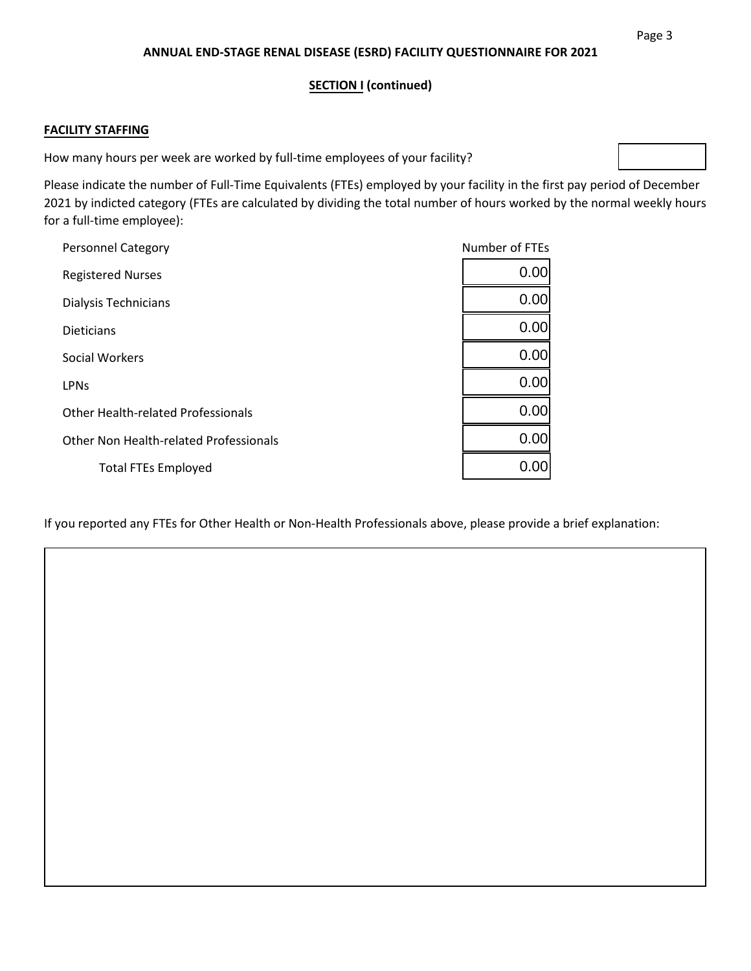## **SECTION I (continued)**

### **FACILITY STAFFING**

How many hours per week are worked by full-time employees of your facility?

Please indicate the number of Full-Time Equivalents (FTEs) employed by your facility in the first pay period of December 2021 by indicted category (FTEs are calculated by dividing the total number of hours worked by the normal weekly hours for a full-time employee):

| <b>Personnel Category</b>                 | Number of FTEs |
|-------------------------------------------|----------------|
| <b>Registered Nurses</b>                  | 0.00           |
| Dialysis Technicians                      | 0.00           |
| <b>Dieticians</b>                         | 0.00           |
| Social Workers                            | 0.00           |
| <b>LPN<sub>S</sub></b>                    | 0.00           |
| <b>Other Health-related Professionals</b> | 0.00           |
| Other Non Health-related Professionals    | 0.00           |
| <b>Total FTEs Employed</b>                | 0.00           |

If you reported any FTEs for Other Health or Non-Health Professionals above, please provide a brief explanation: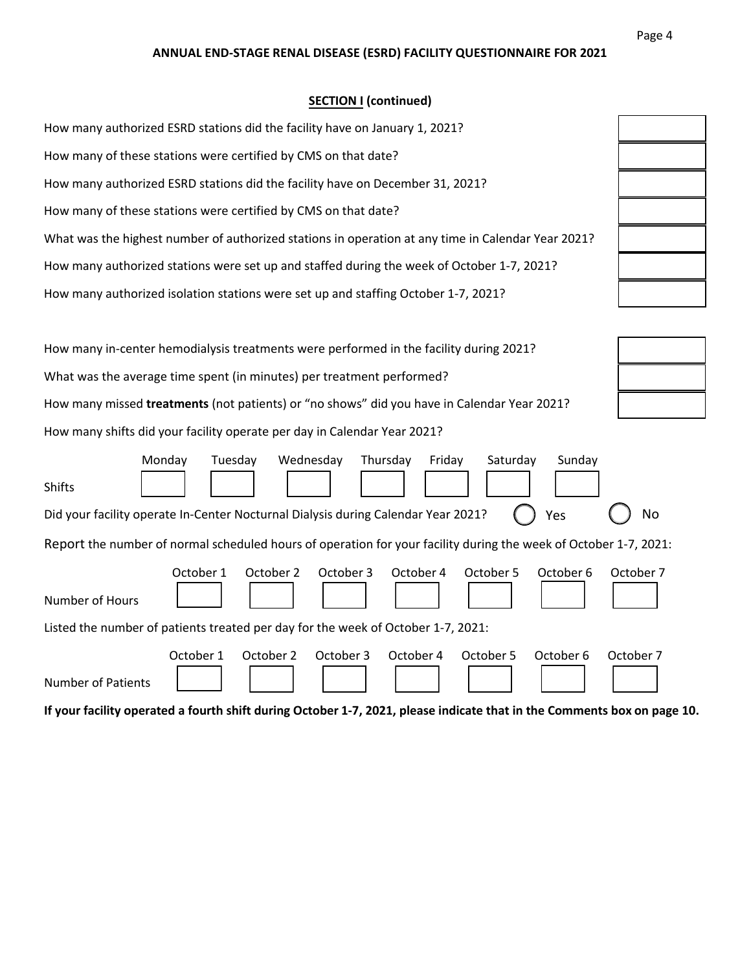## **SECTION I (continued)**

| How many authorized ESRD stations did the facility have on January 1, 2021?                        |  |
|----------------------------------------------------------------------------------------------------|--|
| How many of these stations were certified by CMS on that date?                                     |  |
| How many authorized ESRD stations did the facility have on December 31, 2021?                      |  |
| How many of these stations were certified by CMS on that date?                                     |  |
| What was the highest number of authorized stations in operation at any time in Calendar Year 2021? |  |
| How many authorized stations were set up and staffed during the week of October 1-7, 2021?         |  |
| How many authorized isolation stations were set up and staffing October 1-7, 2021?                 |  |

| How many in-center hemodialysis treatments were performed in the facility during 2021?      |
|---------------------------------------------------------------------------------------------|
| What was the average time spent (in minutes) per treatment performed?                       |
| How many missed treatments (not patients) or "no shows" did you have in Calendar Year 2021? |
| How many shifts did your facility operate per day in Calendar Year 2021?                    |

|                                                                                                                  | Monday    | Tuesday | Wednesday |           | Thursday  | Friday | Saturday  | Sunday    |           |
|------------------------------------------------------------------------------------------------------------------|-----------|---------|-----------|-----------|-----------|--------|-----------|-----------|-----------|
| <b>Shifts</b>                                                                                                    |           |         |           |           |           |        |           |           |           |
| Did your facility operate In-Center Nocturnal Dialysis during Calendar Year 2021?                                |           |         |           |           |           |        |           | Yes       | <b>No</b> |
| Report the number of normal scheduled hours of operation for your facility during the week of October 1-7, 2021: |           |         |           |           |           |        |           |           |           |
| Number of Hours                                                                                                  | October 1 |         | October 2 | October 3 | October 4 |        | October 5 | October 6 | October 7 |
| Listed the number of patients treated per day for the week of October 1-7, 2021:                                 |           |         |           |           |           |        |           |           |           |
| <b>Number of Patients</b>                                                                                        | October 1 |         | October 2 | October 3 | October 4 |        | October 5 | October 6 | October 7 |

**If your facility operated a fourth shift during October 1-7, 2021, please indicate that in the Comments box on page 10.** 

| ╡<br>$\overline{\mathcal{L}}$ |
|-------------------------------|
|                               |
| $\overline{\phantom{a}}$      |
| ┪                             |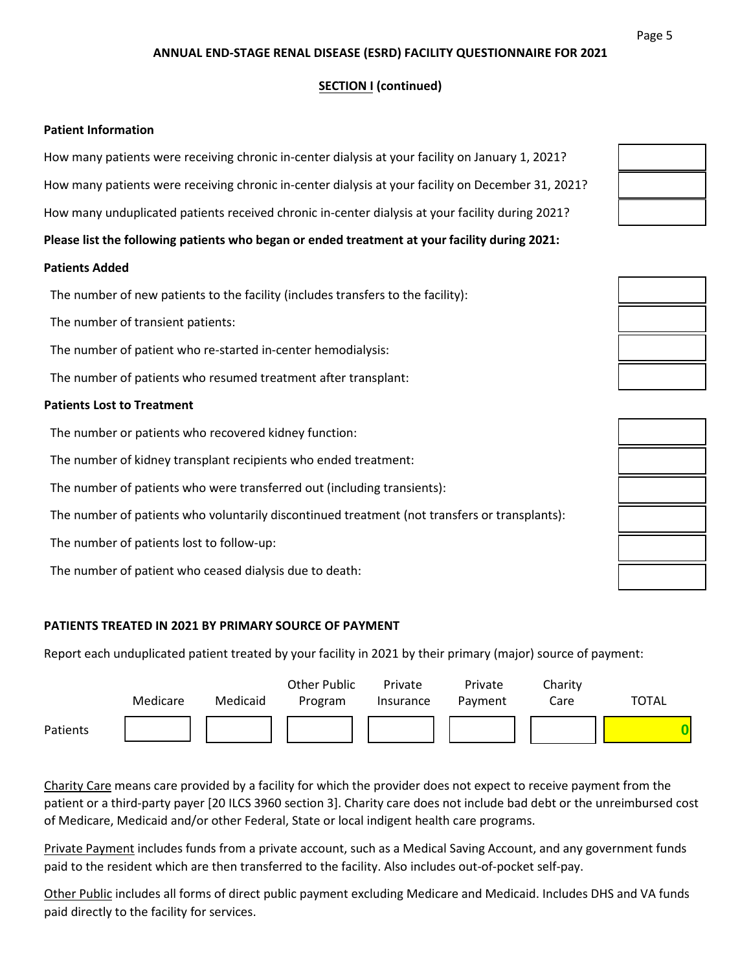## **SECTION I (continued)**

#### **Patient Information**

How many patients were receiving chronic in-center dialysis at your facility on January 1, 2021?

How many patients were receiving chronic in-center dialysis at your facility on December 31, 2021?

How many unduplicated patients received chronic in-center dialysis at your facility during 2021?

**Please list the following patients who began or ended treatment at your facility during 2021:** 

#### **Patients Added**

The number of new patients to the facility (includes transfers to the facility):

The number of transient patients:

The number of patient who re-started in-center hemodialysis:

The number of patients who resumed treatment after transplant:

#### **Patients Lost to Treatment**

The number or patients who recovered kidney function:

The number of kidney transplant recipients who ended treatment:

The number of patients who were transferred out (including transients):

The number of patients who voluntarily discontinued treatment (not transfers or transplants):

The number of patients lost to follow-up:

The number of patient who ceased dialysis due to death:

### **PATIENTS TREATED IN 2021 BY PRIMARY SOURCE OF PAYMENT**

Report each unduplicated patient treated by your facility in 2021 by their primary (major) source of payment:



Charity Care means care provided by a facility for which the provider does not expect to receive payment from the patient or a third-party payer [20 ILCS 3960 section 3]. Charity care does not include bad debt or the unreimbursed cost of Medicare, Medicaid and/or other Federal, State or local indigent health care programs.

Private Payment includes funds from a private account, such as a Medical Saving Account, and any government funds paid to the resident which are then transferred to the facility. Also includes out-of-pocket self-pay.

Other Public includes all forms of direct public payment excluding Medicare and Medicaid. Includes DHS and VA funds paid directly to the facility for services.



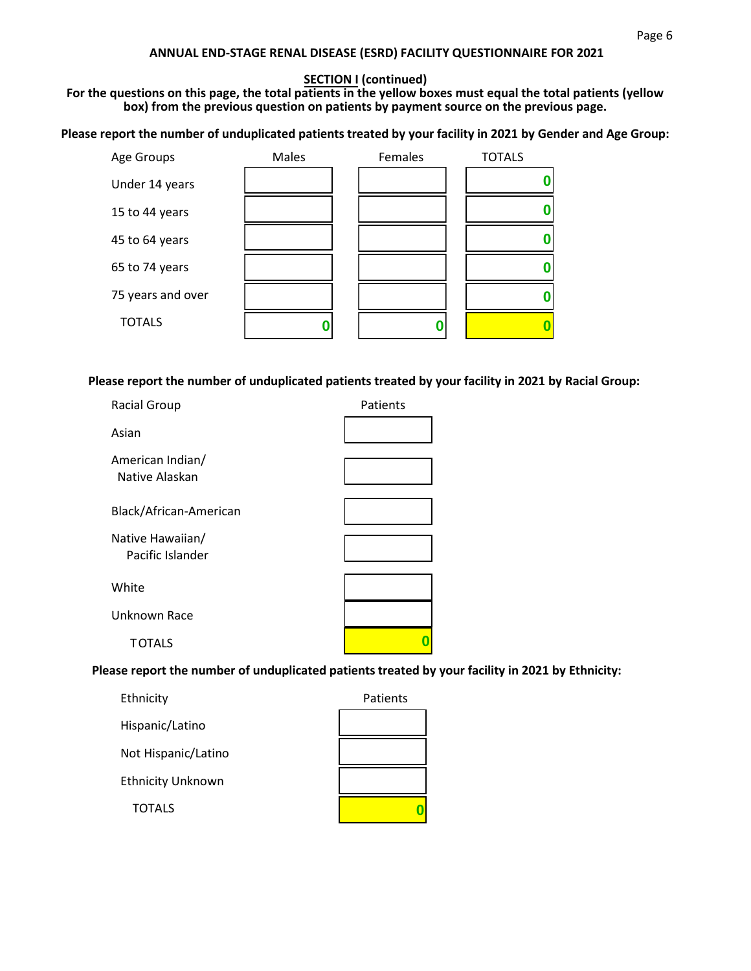## **SECTION I (continued)**

**For the questions on this page, the total patients in the yellow boxes must equal the total patients (yellow box) from the previous question on patients by payment source on the previous page.**

**Please report the number of unduplicated patients treated by your facility in 2021 by Gender and Age Group:** 

| Age Groups        | Males | Females | <b>TOTALS</b> |  |
|-------------------|-------|---------|---------------|--|
| Under 14 years    |       |         |               |  |
| 15 to 44 years    |       |         |               |  |
| 45 to 64 years    |       |         |               |  |
| 65 to 74 years    |       |         |               |  |
| 75 years and over |       |         |               |  |
| <b>TOTALS</b>     |       |         |               |  |
|                   |       |         |               |  |

**Please report the number of unduplicated patients treated by your facility in 2021 by Racial Group:** 

| <b>Racial Group</b>                  | Patients |
|--------------------------------------|----------|
| Asian                                |          |
| American Indian/<br>Native Alaskan   |          |
| Black/African-American               |          |
| Native Hawaiian/<br>Pacific Islander |          |
| White                                |          |
| Unknown Race                         |          |
| <b>TOTALS</b>                        |          |
|                                      |          |

**Please report the number of unduplicated patients treated by your facility in 2021 by Ethnicity:** 

| Ethnicity                | Patients |
|--------------------------|----------|
| Hispanic/Latino          |          |
| Not Hispanic/Latino      |          |
| <b>Ethnicity Unknown</b> |          |
| <b>TOTALS</b>            |          |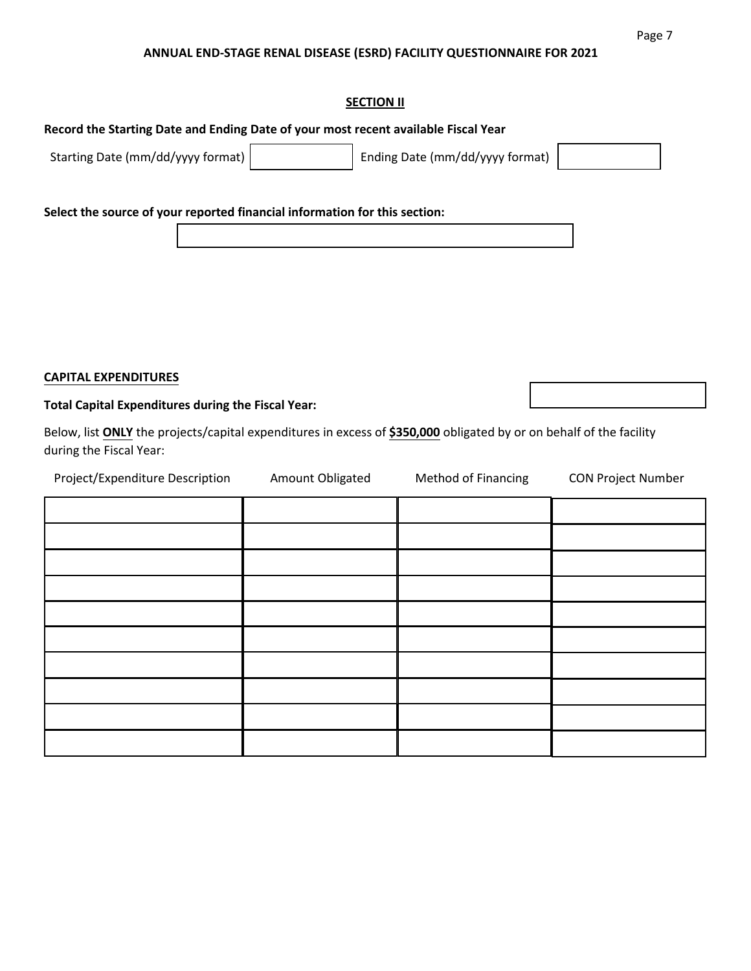#### **SECTION II**

### **Record the Starting Date and Ending Date of your most recent available Fiscal Year**

Starting Date (mm/dd/yyyy format) Ending Date (mm/dd/yyyy format)

**Select the source of your reported financial information for this section:** 

### **CAPITAL EXPENDITURES**

#### **Total Capital Expenditures during the Fiscal Year:**

Below, list **ONLY** the projects/capital expenditures in excess of **\$350,000** obligated by or on behalf of the facility during the Fiscal Year:

| Project/Expenditure Description | Amount Obligated | Method of Financing | CON Project Number |
|---------------------------------|------------------|---------------------|--------------------|
|                                 |                  |                     |                    |
|                                 |                  |                     |                    |
|                                 |                  |                     |                    |
|                                 |                  |                     |                    |
|                                 |                  |                     |                    |
|                                 |                  |                     |                    |
|                                 |                  |                     |                    |
|                                 |                  |                     |                    |
|                                 |                  |                     |                    |
|                                 |                  |                     |                    |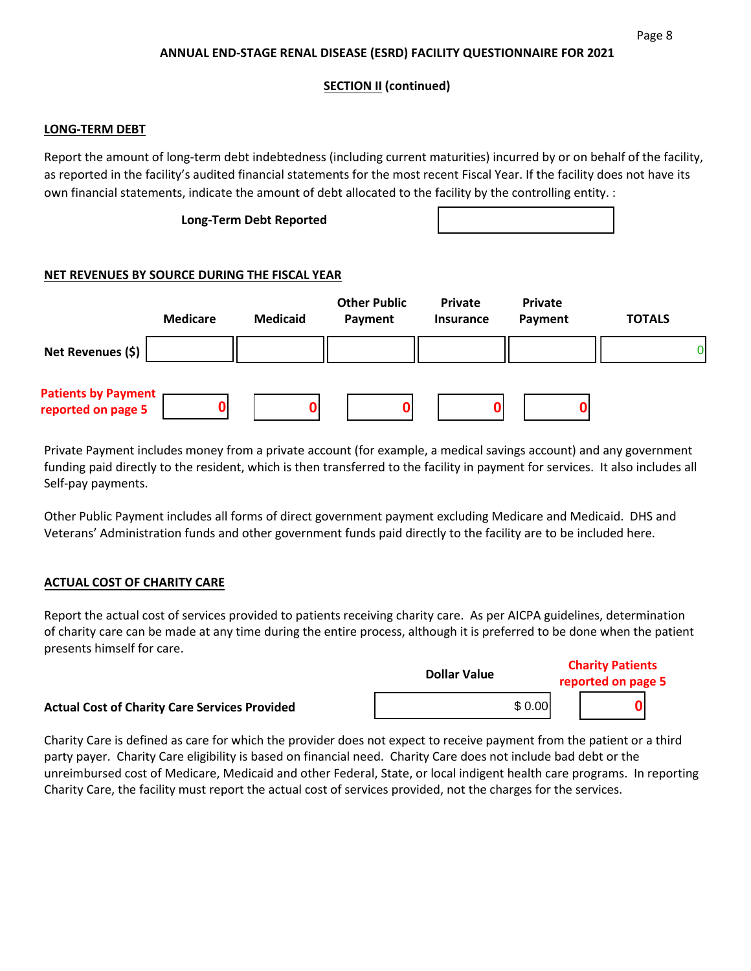### **SECTION II (continued)**

#### **LONG-TERM DEBT**

Report the amount of long-term debt indebtedness (including current maturities) incurred by or on behalf of the facility, as reported in the facility's audited financial statements for the most recent Fiscal Year. If the facility does not have its own financial statements, indicate the amount of debt allocated to the facility by the controlling entity. :

#### **Long-Term Debt Reported**

### **NET REVENUES BY SOURCE DURING THE FISCAL YEAR**

|                                                  | <b>Medicare</b> | <b>Medicaid</b> | <b>Other Public</b><br>Payment | Private<br>Insurance | <b>Private</b><br>Payment | <b>TOTALS</b> |
|--------------------------------------------------|-----------------|-----------------|--------------------------------|----------------------|---------------------------|---------------|
| Net Revenues (\$)                                |                 |                 |                                |                      |                           | O.            |
| <b>Patients by Payment</b><br>reported on page 5 |                 |                 |                                |                      |                           |               |

Private Payment includes money from a private account (for example, a medical savings account) and any government funding paid directly to the resident, which is then transferred to the facility in payment for services. It also includes all Self-pay payments.

Other Public Payment includes all forms of direct government payment excluding Medicare and Medicaid. DHS and Veterans' Administration funds and other government funds paid directly to the facility are to be included here.

#### **ACTUAL COST OF CHARITY CARE**

Report the actual cost of services provided to patients receiving charity care. As per AICPA guidelines, determination of charity care can be made at any time during the entire process, although it is preferred to be done when the patient presents himself for care.

|                                                      | <b>Dollar Value</b> | <b>Charity Patients</b> |  |
|------------------------------------------------------|---------------------|-------------------------|--|
|                                                      |                     | reported on page 5      |  |
| <b>Actual Cost of Charity Care Services Provided</b> | \$0.00              |                         |  |

Charity Care is defined as care for which the provider does not expect to receive payment from the patient or a third party payer. Charity Care eligibility is based on financial need. Charity Care does not include bad debt or the unreimbursed cost of Medicare, Medicaid and other Federal, State, or local indigent health care programs. In reporting Charity Care, the facility must report the actual cost of services provided, not the charges for the services.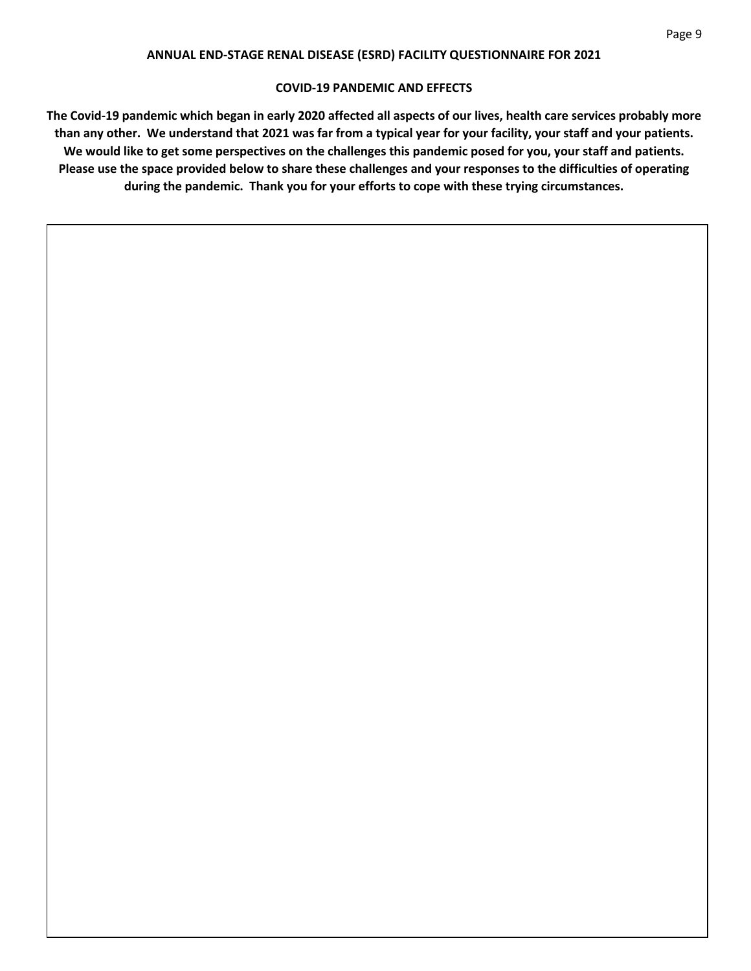#### **COVID-19 PANDEMIC AND EFFECTS**

**The Covid-19 pandemic which began in early 2020 affected all aspects of our lives, health care services probably more than any other. We understand that 2021 was far from a typical year for your facility, your staff and your patients. We would like to get some perspectives on the challenges this pandemic posed for you, your staff and patients. Please use the space provided below to share these challenges and your responses to the difficulties of operating during the pandemic. Thank you for your efforts to cope with these trying circumstances.**